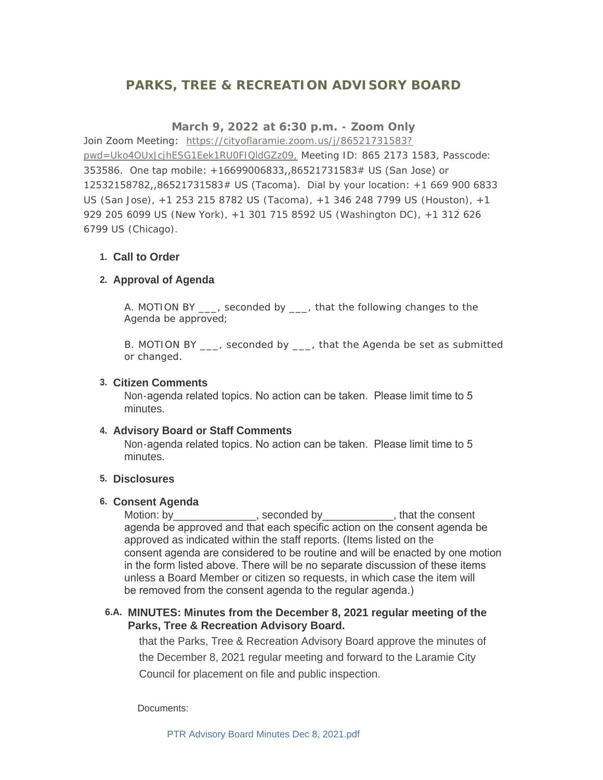# **PARKS, TREE & RECREATION ADVISORY BOARD**

# **March 9, 2022 at 6:30 p.m. - Zoom Only**

Join Zoom Meeting: https://cityoflaramie.zoom.us/j/86521731583? pwd=Uko4OUxJcjhES[G1Eek1RU0FIQldGZz09, Meeting ID: 865 2173 1583, Passcode:](https://cityoflaramie.zoom.us/j/86521731583?pwd=Uko4OUxJcjhESG1Eek1RU0FIQldGZz09,)  353586. One tap mobile: +16699006833,,86521731583# US (San Jose) or 12532158782,,86521731583# US (Tacoma). Dial by your location: +1 669 900 6833 US (San Jose), +1 253 215 8782 US (Tacoma), +1 346 248 7799 US (Houston), +1 929 205 6099 US (New York), +1 301 715 8592 US (Washington DC), +1 312 626 6799 US (Chicago).

# **Call to Order 1.**

## **Approval of Agenda 2.**

A. MOTION BY \_\_\_, seconded by \_\_\_, that the following changes to the Agenda be approved;

B. MOTION BY \_\_\_, seconded by \_\_\_, that the Agenda be set as submitted or changed.

## **Citizen Comments 3.**

Non-agenda related topics. No action can be taken. Please limit time to 5 minutes.

## **Advisory Board or Staff Comments 4.**

Non-agenda related topics. No action can be taken. Please limit time to 5 minutes.

#### **Disclosures 5.**

#### **Consent Agenda 6.**

Motion: by \_\_\_\_\_\_\_\_\_\_\_\_\_\_, seconded by \_\_\_\_\_\_\_\_\_\_\_\_, that the consent agenda be approved and that each specific action on the consent agenda be approved as indicated within the staff reports. (Items listed on the consent agenda are considered to be routine and will be enacted by one motion in the form listed above. There will be no separate discussion of these items unless a Board Member or citizen so requests, in which case the item will be removed from the consent agenda to the regular agenda.)

## **MINUTES: Minutes from the December 8, 2021 regular meeting of the 6.A. Parks, Tree & Recreation Advisory Board.**

that the Parks, Tree & Recreation Advisory Board approve the minutes of the December 8, 2021 regular meeting and forward to the Laramie City Council for placement on file and public inspection.

Documents: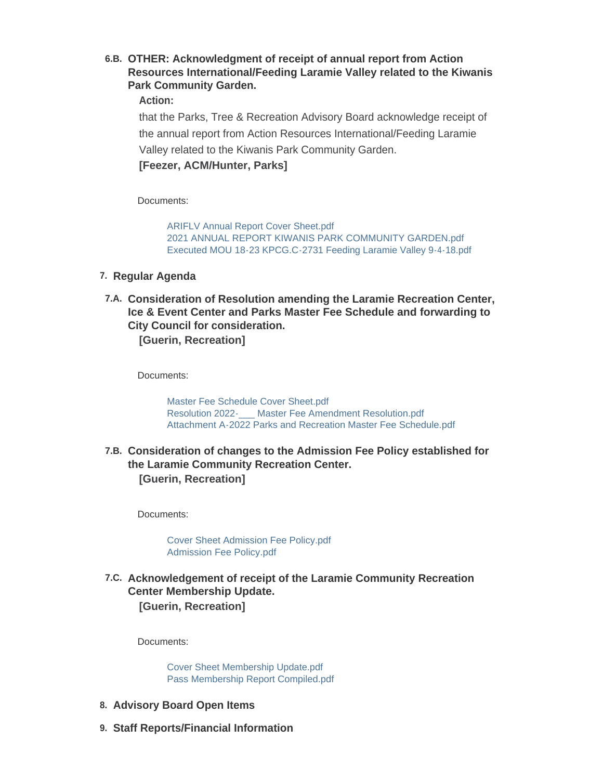**OTHER: Acknowledgment of receipt of annual report from Action 6.B. Resources International/Feeding Laramie Valley related to the Kiwanis Park Community Garden.**

## **Action:**

that the Parks, Tree & Recreation Advisory Board acknowledge receipt of the annual report from Action Resources International/Feeding Laramie Valley related to the Kiwanis Park Community Garden.

**[Feezer, ACM/Hunter, Parks]**

Documents:

[ARIFLV Annual Report Cover Sheet.pdf](https://www.cityoflaramie.org/AgendaCenter/ViewFile/Item/11985?fileID=16295) [2021 ANNUAL REPORT KIWANIS PARK COMMUNITY GARDEN.pdf](https://www.cityoflaramie.org/AgendaCenter/ViewFile/Item/11985?fileID=16296) [Executed MOU 18-23 KPCG.C-2731 Feeding Laramie Valley 9-4-18.pdf](https://www.cityoflaramie.org/AgendaCenter/ViewFile/Item/11985?fileID=16297)

- **Regular Agenda 7.**
- **Consideration of Resolution amending the Laramie Recreation Center, 7.A. Ice & Event Center and Parks Master Fee Schedule and forwarding to City Council for consideration. [Guerin, Recreation]**

Documents:

[Master Fee Schedule Cover Sheet.pdf](https://www.cityoflaramie.org/AgendaCenter/ViewFile/Item/11960?fileID=16298) [Resolution 2022-\\_\\_\\_ Master Fee Amendment Resolution.pdf](https://www.cityoflaramie.org/AgendaCenter/ViewFile/Item/11960?fileID=16299) [Attachment A-2022 Parks and Recreation Master Fee Schedule.pdf](https://www.cityoflaramie.org/AgendaCenter/ViewFile/Item/11960?fileID=16300)

**Consideration of changes to the Admission Fee Policy established for 7.B. the Laramie Community Recreation Center. [Guerin, Recreation]**

Documents:

[Cover Sheet Admission Fee Policy.pdf](https://www.cityoflaramie.org/AgendaCenter/ViewFile/Item/11959?fileID=16301) [Admission Fee Policy.pdf](https://www.cityoflaramie.org/AgendaCenter/ViewFile/Item/11959?fileID=16302)

**Acknowledgement of receipt of the Laramie Community Recreation 7.C. Center Membership Update. [Guerin, Recreation]**

Documents:

[Cover Sheet Membership Update.pdf](https://www.cityoflaramie.org/AgendaCenter/ViewFile/Item/11962?fileID=16303) [Pass Membership Report Compiled.pdf](https://www.cityoflaramie.org/AgendaCenter/ViewFile/Item/11962?fileID=16304)

- **Advisory Board Open Items 8.**
- **Staff Reports/Financial Information 9.**